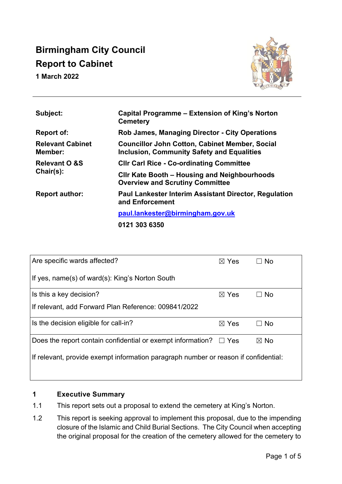# **Birmingham City Council Report to Cabinet**

**1 March 2022** 



| Subject:                              | Capital Programme – Extension of King's Norton<br><b>Cemetery</b>                                          |  |  |
|---------------------------------------|------------------------------------------------------------------------------------------------------------|--|--|
| <b>Report of:</b>                     | <b>Rob James, Managing Director - City Operations</b>                                                      |  |  |
| <b>Relevant Cabinet</b><br>Member:    | <b>Councillor John Cotton, Cabinet Member, Social</b><br><b>Inclusion, Community Safety and Equalities</b> |  |  |
| <b>Relevant O &amp;S</b><br>Chair(s): | <b>CIIr Carl Rice - Co-ordinating Committee</b>                                                            |  |  |
|                                       | CIIr Kate Booth – Housing and Neighbourhoods<br><b>Overview and Scrutiny Committee</b>                     |  |  |
| <b>Report author:</b>                 | <b>Paul Lankester Interim Assistant Director, Regulation</b><br>and Enforcement                            |  |  |
|                                       | paul.lankester@birmingham.gov.uk                                                                           |  |  |
|                                       | 0121 303 6350                                                                                              |  |  |

| Are specific wards affected?                                                        | $\boxtimes$ Yes | <b>No</b>      |  |  |  |  |
|-------------------------------------------------------------------------------------|-----------------|----------------|--|--|--|--|
| If yes, name(s) of ward(s): King's Norton South                                     |                 |                |  |  |  |  |
| Is this a key decision?                                                             | $\boxtimes$ Yes | l No           |  |  |  |  |
| If relevant, add Forward Plan Reference: 009841/2022                                |                 |                |  |  |  |  |
| Is the decision eligible for call-in?                                               | $\boxtimes$ Yes | <b>No</b>      |  |  |  |  |
| Does the report contain confidential or exempt information? $\square$ Yes           |                 | $\boxtimes$ No |  |  |  |  |
| If relevant, provide exempt information paragraph number or reason if confidential: |                 |                |  |  |  |  |

## **1 Executive Summary**

- 1.1 This report sets out a proposal to extend the cemetery at King's Norton.
- 1.2 This report is seeking approval to implement this proposal, due to the impending closure of the Islamic and Child Burial Sections. The City Council when accepting the original proposal for the creation of the cemetery allowed for the cemetery to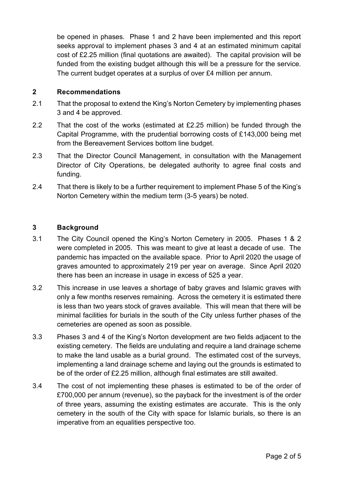be opened in phases. Phase 1 and 2 have been implemented and this report seeks approval to implement phases 3 and 4 at an estimated minimum capital cost of £2.25 million (final quotations are awaited). The capital provision will be funded from the existing budget although this will be a pressure for the service. The current budget operates at a surplus of over £4 million per annum.

## **2 Recommendations**

- 2.1 That the proposal to extend the King's Norton Cemetery by implementing phases 3 and 4 be approved.
- 2.2 That the cost of the works (estimated at £2.25 million) be funded through the Capital Programme, with the prudential borrowing costs of £143,000 being met from the Bereavement Services bottom line budget.
- 2.3 That the Director Council Management, in consultation with the Management Director of City Operations, be delegated authority to agree final costs and funding.
- 2.4 That there is likely to be a further requirement to implement Phase 5 of the King's Norton Cemetery within the medium term (3-5 years) be noted.

## **3 Background**

- 3.1 The City Council opened the King's Norton Cemetery in 2005. Phases 1 & 2 were completed in 2005. This was meant to give at least a decade of use. The pandemic has impacted on the available space. Prior to April 2020 the usage of graves amounted to approximately 219 per year on average. Since April 2020 there has been an increase in usage in excess of 525 a year.
- 3.2 This increase in use leaves a shortage of baby graves and Islamic graves with only a few months reserves remaining. Across the cemetery it is estimated there is less than two years stock of graves available. This will mean that there will be minimal facilities for burials in the south of the City unless further phases of the cemeteries are opened as soon as possible.
- 3.3 Phases 3 and 4 of the King's Norton development are two fields adjacent to the existing cemetery. The fields are undulating and require a land drainage scheme to make the land usable as a burial ground. The estimated cost of the surveys, implementing a land drainage scheme and laying out the grounds is estimated to be of the order of £2.25 million, although final estimates are still awaited.
- 3.4 The cost of not implementing these phases is estimated to be of the order of £700,000 per annum (revenue), so the payback for the investment is of the order of three years, assuming the existing estimates are accurate. This is the only cemetery in the south of the City with space for Islamic burials, so there is an imperative from an equalities perspective too.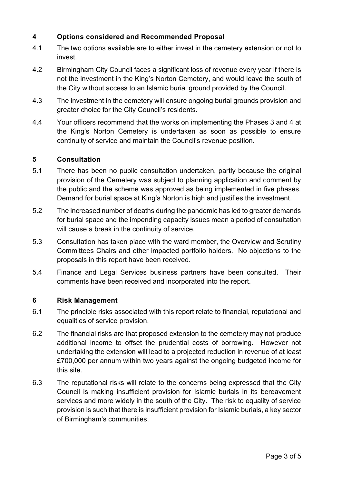## **4 Options considered and Recommended Proposal**

- 4.1 The two options available are to either invest in the cemetery extension or not to invest.
- 4.2 Birmingham City Council faces a significant loss of revenue every year if there is not the investment in the King's Norton Cemetery, and would leave the south of the City without access to an Islamic burial ground provided by the Council.
- 4.3 The investment in the cemetery will ensure ongoing burial grounds provision and greater choice for the City Council's residents.
- 4.4 Your officers recommend that the works on implementing the Phases 3 and 4 at the King's Norton Cemetery is undertaken as soon as possible to ensure continuity of service and maintain the Council's revenue position.

## **5 Consultation**

- 5.1 There has been no public consultation undertaken, partly because the original provision of the Cemetery was subject to planning application and comment by the public and the scheme was approved as being implemented in five phases. Demand for burial space at King's Norton is high and justifies the investment.
- 5.2 The increased number of deaths during the pandemic has led to greater demands for burial space and the impending capacity issues mean a period of consultation will cause a break in the continuity of service.
- 5.3 Consultation has taken place with the ward member, the Overview and Scrutiny Committees Chairs and other impacted portfolio holders. No objections to the proposals in this report have been received.
- 5.4 Finance and Legal Services business partners have been consulted. Their comments have been received and incorporated into the report.

#### **6 Risk Management**

- 6.1 The principle risks associated with this report relate to financial, reputational and equalities of service provision.
- 6.2 The financial risks are that proposed extension to the cemetery may not produce additional income to offset the prudential costs of borrowing. However not undertaking the extension will lead to a projected reduction in revenue of at least £700,000 per annum within two years against the ongoing budgeted income for this site.
- 6.3 The reputational risks will relate to the concerns being expressed that the City Council is making insufficient provision for Islamic burials in its bereavement services and more widely in the south of the City. The risk to equality of service provision is such that there is insufficient provision for Islamic burials, a key sector of Birmingham's communities.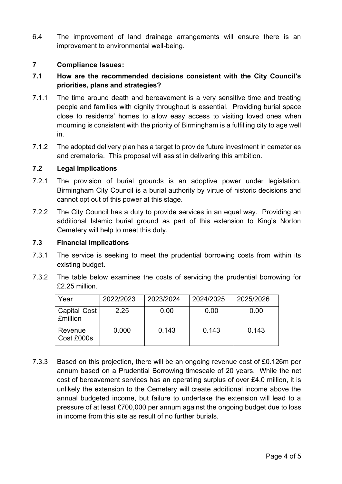6.4 The improvement of land drainage arrangements will ensure there is an improvement to environmental well-being.

## **7 Compliance Issues:**

## **7.1 How are the recommended decisions consistent with the City Council's priorities, plans and strategies?**

- 7.1.1 The time around death and bereavement is a very sensitive time and treating people and families with dignity throughout is essential. Providing burial space close to residents' homes to allow easy access to visiting loved ones when mourning is consistent with the priority of Birmingham is a fulfilling city to age well in.
- 7.1.2 The adopted delivery plan has a target to provide future investment in cemeteries and crematoria. This proposal will assist in delivering this ambition.

#### **7.2 Legal Implications**

- 7.2.1 The provision of burial grounds is an adoptive power under legislation. Birmingham City Council is a burial authority by virtue of historic decisions and cannot opt out of this power at this stage.
- 7.2.2 The City Council has a duty to provide services in an equal way. Providing an additional Islamic burial ground as part of this extension to King's Norton Cemetery will help to meet this duty.

#### **7.3 Financial Implications**

- 7.3.1 The service is seeking to meet the prudential borrowing costs from within its existing budget.
- 7.3.2 The table below examines the costs of servicing the prudential borrowing for £2.25 million.

| Year                                   | 2022/2023 | 2023/2024 | 2024/2025 | 2025/2026 |
|----------------------------------------|-----------|-----------|-----------|-----------|
| <b>Capital Cost</b><br><b>£million</b> | 2.25      | 0.00      | 0.00      | 0.00      |
| Revenue<br>Cost £000s                  | 0.000     | 0.143     | 0.143     | 0.143     |

7.3.3 Based on this projection, there will be an ongoing revenue cost of £0.126m per annum based on a Prudential Borrowing timescale of 20 years. While the net cost of bereavement services has an operating surplus of over £4.0 million, it is unlikely the extension to the Cemetery will create additional income above the annual budgeted income, but failure to undertake the extension will lead to a pressure of at least £700,000 per annum against the ongoing budget due to loss in income from this site as result of no further burials.